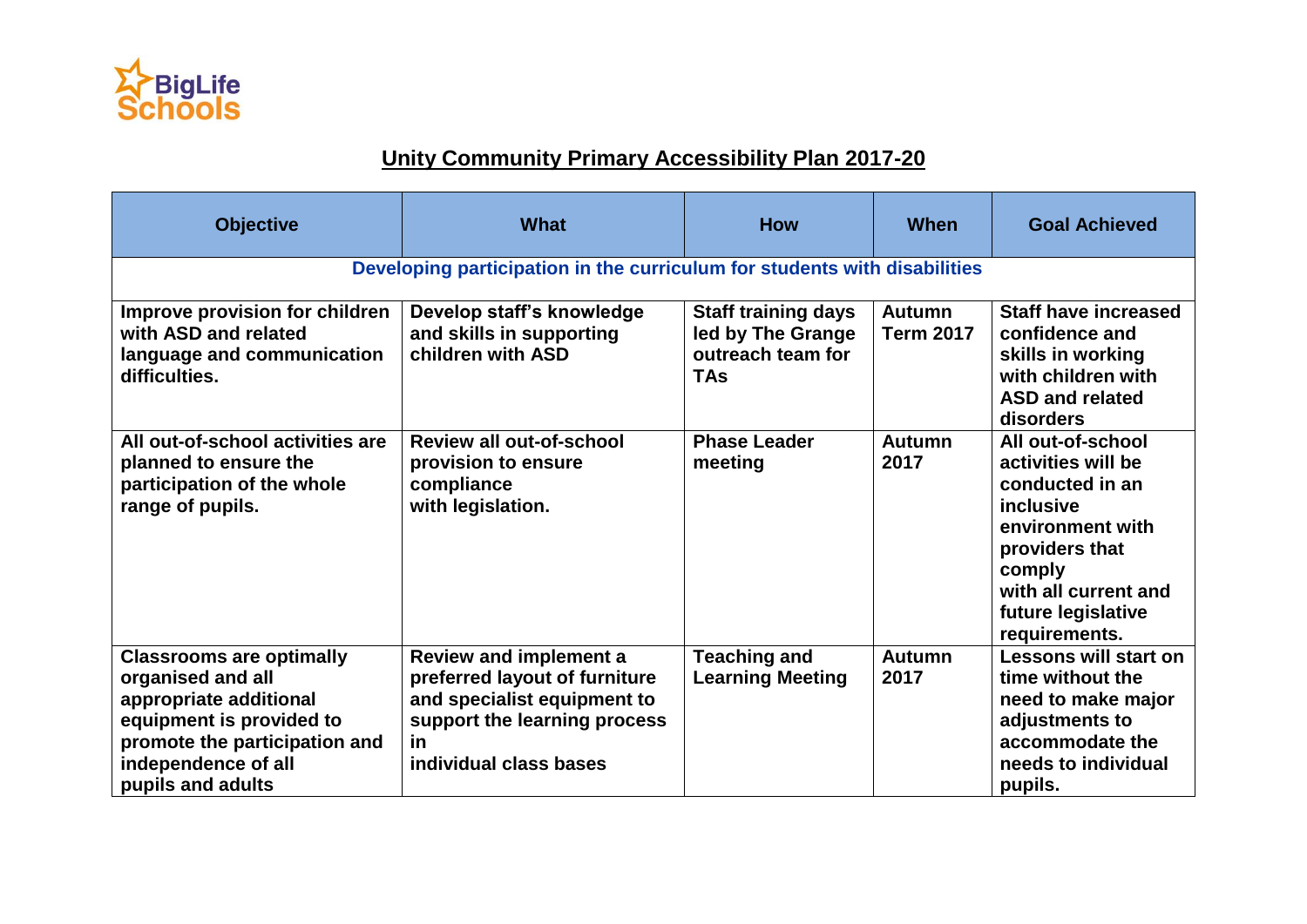

## **Unity Community Primary Accessibility Plan 2017-20**

| <b>Objective</b>                                                                                                                                                                        | <b>What</b>                                                                                                                                                          | <b>How</b>                                                                         | <b>When</b>                       | <b>Goal Achieved</b>                                                                                                                                                                   |  |  |  |
|-----------------------------------------------------------------------------------------------------------------------------------------------------------------------------------------|----------------------------------------------------------------------------------------------------------------------------------------------------------------------|------------------------------------------------------------------------------------|-----------------------------------|----------------------------------------------------------------------------------------------------------------------------------------------------------------------------------------|--|--|--|
| Developing participation in the curriculum for students with disabilities                                                                                                               |                                                                                                                                                                      |                                                                                    |                                   |                                                                                                                                                                                        |  |  |  |
| Improve provision for children<br>with ASD and related<br>language and communication<br>difficulties.                                                                                   | Develop staff's knowledge<br>and skills in supporting<br>children with ASD                                                                                           | <b>Staff training days</b><br>led by The Grange<br>outreach team for<br><b>TAs</b> | <b>Autumn</b><br><b>Term 2017</b> | <b>Staff have increased</b><br>confidence and<br>skills in working<br>with children with<br><b>ASD and related</b><br>disorders                                                        |  |  |  |
| All out-of-school activities are<br>planned to ensure the<br>participation of the whole<br>range of pupils.                                                                             | <b>Review all out-of-school</b><br>provision to ensure<br>compliance<br>with legislation.                                                                            | <b>Phase Leader</b><br>meeting                                                     | <b>Autumn</b><br>2017             | All out-of-school<br>activities will be<br>conducted in an<br>inclusive<br>environment with<br>providers that<br>comply<br>with all current and<br>future legislative<br>requirements. |  |  |  |
| <b>Classrooms are optimally</b><br>organised and all<br>appropriate additional<br>equipment is provided to<br>promote the participation and<br>independence of all<br>pupils and adults | <b>Review and implement a</b><br>preferred layout of furniture<br>and specialist equipment to<br>support the learning process<br><u>in</u><br>individual class bases | <b>Teaching and</b><br><b>Learning Meeting</b>                                     | Autumn<br>2017                    | Lessons will start on<br>time without the<br>need to make major<br>adjustments to<br>accommodate the<br>needs to individual<br>pupils.                                                 |  |  |  |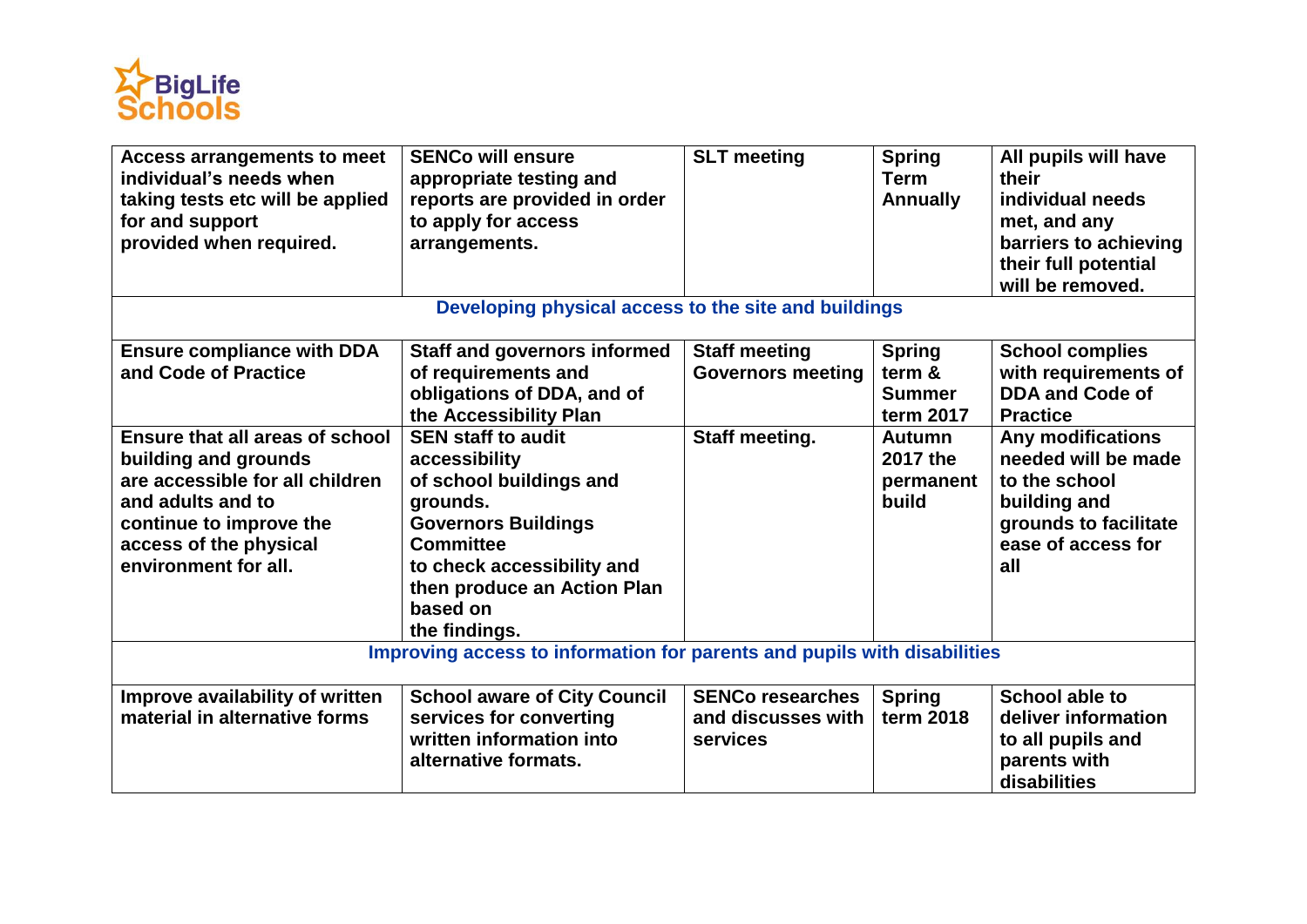

| Access arrangements to meet                                              | <b>SENCo will ensure</b>            | <b>SLT</b> meeting       | <b>Spring</b>   | All pupils will have     |  |  |  |
|--------------------------------------------------------------------------|-------------------------------------|--------------------------|-----------------|--------------------------|--|--|--|
| individual's needs when                                                  | appropriate testing and             |                          | <b>Term</b>     | their                    |  |  |  |
| taking tests etc will be applied                                         | reports are provided in order       |                          | <b>Annually</b> | individual needs         |  |  |  |
| for and support                                                          | to apply for access                 |                          |                 | met, and any             |  |  |  |
| provided when required.                                                  | arrangements.                       |                          |                 | barriers to achieving    |  |  |  |
|                                                                          |                                     |                          |                 | their full potential     |  |  |  |
|                                                                          |                                     |                          |                 | will be removed.         |  |  |  |
| Developing physical access to the site and buildings                     |                                     |                          |                 |                          |  |  |  |
| <b>Ensure compliance with DDA</b>                                        | <b>Staff and governors informed</b> | <b>Staff meeting</b>     | <b>Spring</b>   | <b>School complies</b>   |  |  |  |
| and Code of Practice                                                     | of requirements and                 | <b>Governors meeting</b> | term &          | with requirements of     |  |  |  |
|                                                                          | obligations of DDA, and of          |                          | <b>Summer</b>   | <b>DDA and Code of</b>   |  |  |  |
|                                                                          | the Accessibility Plan              |                          | term 2017       | <b>Practice</b>          |  |  |  |
| Ensure that all areas of school                                          | <b>SEN staff to audit</b>           | Staff meeting.           | <b>Autumn</b>   | <b>Any modifications</b> |  |  |  |
| building and grounds                                                     | accessibility                       |                          | 2017 the        | needed will be made      |  |  |  |
| are accessible for all children                                          | of school buildings and             |                          | permanent       | to the school            |  |  |  |
| and adults and to                                                        | grounds.                            |                          | build           | building and             |  |  |  |
| continue to improve the                                                  | <b>Governors Buildings</b>          |                          |                 | grounds to facilitate    |  |  |  |
| access of the physical                                                   | <b>Committee</b>                    |                          |                 | ease of access for       |  |  |  |
| environment for all.                                                     | to check accessibility and          |                          |                 | all                      |  |  |  |
|                                                                          | then produce an Action Plan         |                          |                 |                          |  |  |  |
|                                                                          | based on                            |                          |                 |                          |  |  |  |
|                                                                          | the findings.                       |                          |                 |                          |  |  |  |
| Improving access to information for parents and pupils with disabilities |                                     |                          |                 |                          |  |  |  |
| Improve availability of written                                          | <b>School aware of City Council</b> | <b>SENCo researches</b>  | <b>Spring</b>   | <b>School able to</b>    |  |  |  |
| material in alternative forms                                            | services for converting             | and discusses with       | term 2018       | deliver information      |  |  |  |
|                                                                          | written information into            | services                 |                 | to all pupils and        |  |  |  |
|                                                                          | alternative formats.                |                          |                 | parents with             |  |  |  |
|                                                                          |                                     |                          |                 | disabilities             |  |  |  |